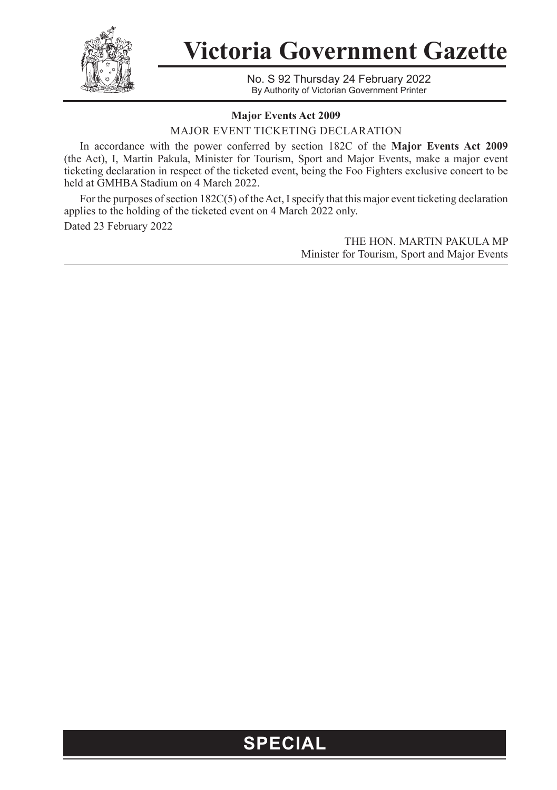

**Victoria Government Gazette**

No. S 92 Thursday 24 February 2022 By Authority of Victorian Government Printer

## **Major Events Act 2009**

MAJOR EVENT TICKETING DECLARATION

In accordance with the power conferred by section 182C of the **Major Events Act 2009**  (the Act), I, Martin Pakula, Minister for Tourism, Sport and Major Events, make a major event ticketing declaration in respect of the ticketed event, being the Foo Fighters exclusive concert to be held at GMHBA Stadium on 4 March 2022.

For the purposes of section 182C(5) of the Act, I specify that this major event ticketing declaration applies to the holding of the ticketed event on 4 March 2022 only. Dated 23 February 2022

> THE HON. MARTIN PAKULA MP Minister for Tourism, Sport and Major Events

## **SPECIAL**